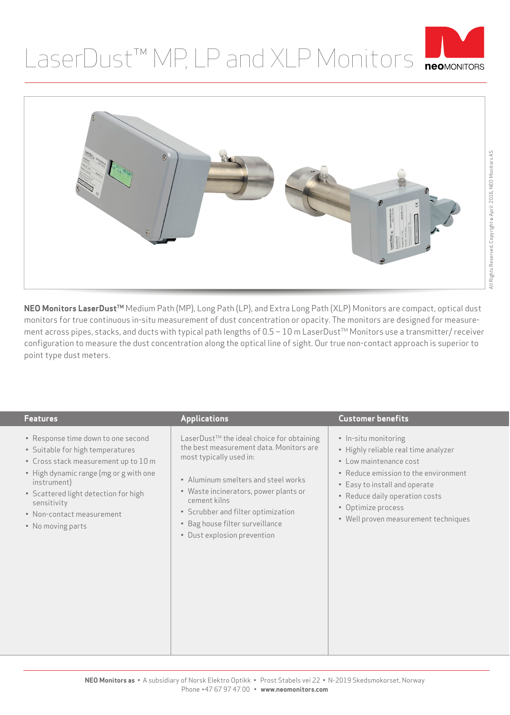## LaserDust™ MP, LP and XLP Monitors PLONIDION





NEO Monitors LaserDust<sup>™</sup> Medium Path (MP), Long Path (LP), and Extra Long Path (XLP) Monitors are compact, optical dust monitors for true continuous in-situ measurement of dust concentration or opacity. The monitors are designed for measurement across pipes, stacks, and ducts with typical path lengths of 0.5 − 10 m LaserDust<sup>™</sup> Monitors use a transmitter/ receiver configuration to measure the dust concentration along the optical line of sight. Our true non-contact approach is superior to point type dust meters.

| <b>Features</b>                                                                                                                                                                                                                                                                  | <b>Applications</b>                                                                                                                                                                                                                                                                                                     | <b>Customer benefits</b>                                                                                                                                                                                                                                        |
|----------------------------------------------------------------------------------------------------------------------------------------------------------------------------------------------------------------------------------------------------------------------------------|-------------------------------------------------------------------------------------------------------------------------------------------------------------------------------------------------------------------------------------------------------------------------------------------------------------------------|-----------------------------------------------------------------------------------------------------------------------------------------------------------------------------------------------------------------------------------------------------------------|
| • Response time down to one second<br>· Suitable for high temperatures<br>• Cross stack measurement up to 10 m<br>• High dynamic range (mg or g with one<br>instrument)<br>• Scattered light detection for high<br>sensitivity<br>• Non-contact measurement<br>• No moving parts | LaserDust™ the ideal choice for obtaining<br>the best measurement data. Monitors are<br>most typically used in:<br>• Aluminum smelters and steel works<br>• Waste incinerators, power plants or<br>cement kilns<br>• Scrubber and filter optimization<br>• Bag house filter surveillance<br>• Dust explosion prevention | • In-situ monitoring<br>• Highly reliable real time analyzer<br>• Low maintenance cost<br>• Reduce emission to the environment<br>• Easy to install and operate<br>• Reduce daily operation costs<br>• Optimize process<br>• Well proven measurement techniques |